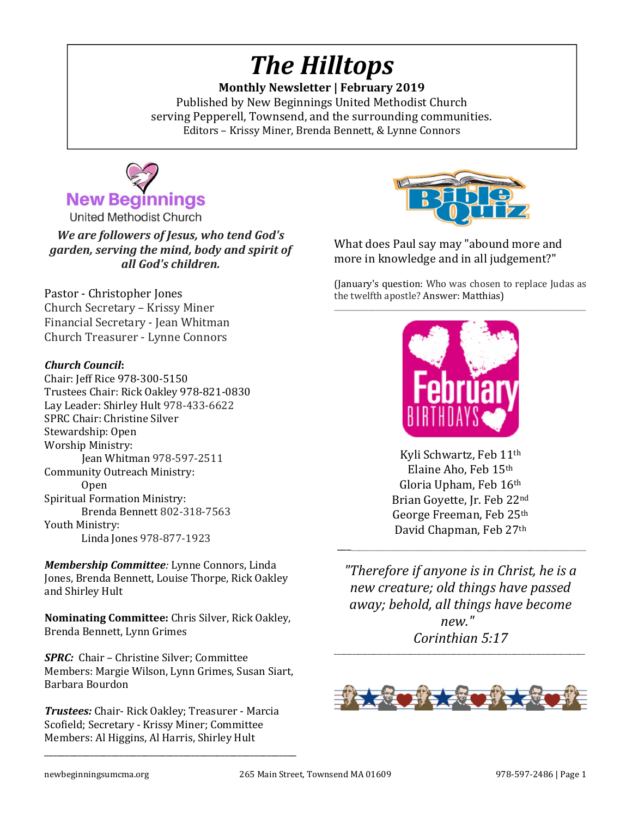# The Hilltops

Monthly Newsletter | February 2019 Published by New Beginnings United Methodist Church serving Pepperell, Townsend, and the surrounding communities. Editors – Krissy Miner, Brenda Bennett, & Lynne Connors



United Methodist Church

We are followers of Jesus, who tend God's garden, serving the mind, body and spirit of all God's children.

Pastor - Christopher Jones Church Secretary – Krissy Miner Financial Secretary - Jean Whitman Church Treasurer - Lynne Connors

#### Church Council:

Chair: Jeff Rice 978-300-5150 Trustees Chair: Rick Oakley 978-821-0830 Lay Leader: Shirley Hult 978-433-6622 SPRC Chair: Christine Silver Stewardship: Open Worship Ministry: Jean Whitman 978-597-2511 Community Outreach Ministry: Open Spiritual Formation Ministry: Brenda Bennett 802-318-7563 Youth Ministry: Linda Jones 978-877-1923

Membership Committee: Lynne Connors, Linda Jones, Brenda Bennett, Louise Thorpe, Rick Oakley and Shirley Hult

Nominating Committee: Chris Silver, Rick Oakley, Brenda Bennett, Lynn Grimes

SPRC: Chair – Christine Silver; Committee Members: Margie Wilson, Lynn Grimes, Susan Siart, Barbara Bourdon

Trustees: Chair- Rick Oakley; Treasurer - Marcia Scofield; Secretary - Krissy Miner; Committee Members: Al Higgins, Al Harris, Shirley Hult

\_\_\_\_\_\_\_\_\_\_\_\_\_\_\_\_\_\_\_\_\_\_\_\_\_\_\_\_\_\_\_\_\_\_\_\_\_\_\_\_\_\_\_\_\_\_\_\_\_\_\_\_\_\_\_\_\_\_\_\_



What does Paul say may "abound more and more in knowledge and in all judgement?"

(January's question: Who was chosen to replace Judas as the twelfth apostle? Answer: Matthias)



Kyli Schwartz, Feb 11th Elaine Aho, Feb 15th Gloria Upham, Feb 16th Brian Goyette, Jr. Feb 22nd George Freeman, Feb 25th David Chapman, Feb 27th

 $\frac{1}{2}$  ,  $\frac{1}{2}$  ,  $\frac{1}{2}$  ,  $\frac{1}{2}$  ,  $\frac{1}{2}$  ,  $\frac{1}{2}$  ,  $\frac{1}{2}$  ,  $\frac{1}{2}$  ,  $\frac{1}{2}$  ,  $\frac{1}{2}$  ,  $\frac{1}{2}$  ,  $\frac{1}{2}$  ,  $\frac{1}{2}$  ,  $\frac{1}{2}$  ,  $\frac{1}{2}$  ,  $\frac{1}{2}$  ,  $\frac{1}{2}$  ,  $\frac{1}{2}$  ,  $\frac{1$ 

"Therefore if anyone is in Christ, he is a new creature; old things have passed away; behold, all things have become new." Corinthian 5:17



\_\_\_\_\_\_\_\_\_\_\_\_\_\_\_\_\_\_\_\_\_\_\_\_\_\_\_\_\_\_\_\_\_\_\_\_\_\_\_\_\_\_\_\_\_\_\_\_\_\_\_\_\_\_\_\_\_\_\_\_\_\_\_\_\_\_\_\_\_\_\_\_\_\_\_\_\_\_\_\_\_\_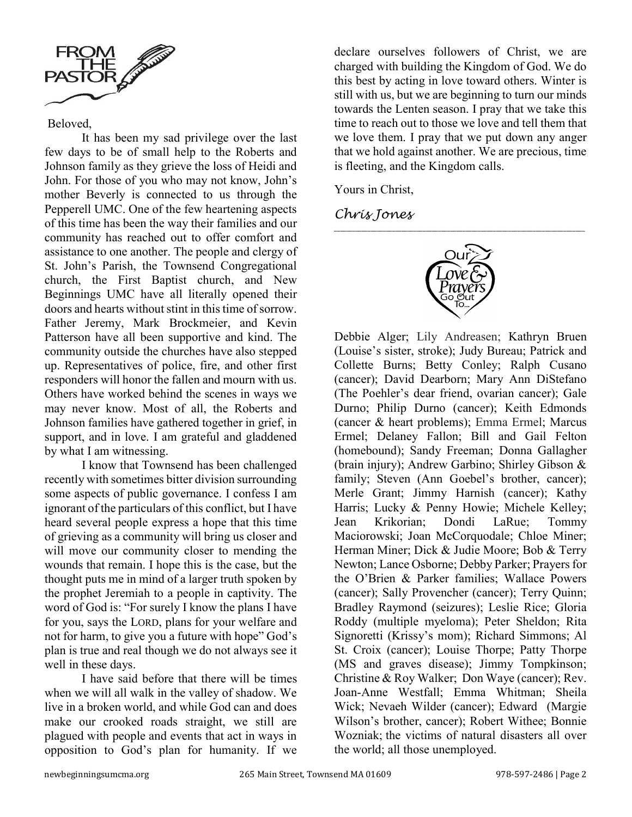

Beloved,

 It has been my sad privilege over the last few days to be of small help to the Roberts and Johnson family as they grieve the loss of Heidi and John. For those of you who may not know, John's mother Beverly is connected to us through the Pepperell UMC. One of the few heartening aspects of this time has been the way their families and our community has reached out to offer comfort and assistance to one another. The people and clergy of St. John's Parish, the Townsend Congregational church, the First Baptist church, and New Beginnings UMC have all literally opened their doors and hearts without stint in this time of sorrow. Father Jeremy, Mark Brockmeier, and Kevin Patterson have all been supportive and kind. The community outside the churches have also stepped up. Representatives of police, fire, and other first responders will honor the fallen and mourn with us. Others have worked behind the scenes in ways we may never know. Most of all, the Roberts and Johnson families have gathered together in grief, in support, and in love. I am grateful and gladdened by what I am witnessing.

 I know that Townsend has been challenged recently with sometimes bitter division surrounding some aspects of public governance. I confess I am ignorant of the particulars of this conflict, but I have heard several people express a hope that this time of grieving as a community will bring us closer and will move our community closer to mending the wounds that remain. I hope this is the case, but the thought puts me in mind of a larger truth spoken by the prophet Jeremiah to a people in captivity. The word of God is: "For surely I know the plans I have for you, says the LORD, plans for your welfare and not for harm, to give you a future with hope" God's plan is true and real though we do not always see it well in these days.

 I have said before that there will be times when we will all walk in the valley of shadow. We live in a broken world, and while God can and does make our crooked roads straight, we still are plagued with people and events that act in ways in opposition to God's plan for humanity. If we declare ourselves followers of Christ, we are charged with building the Kingdom of God. We do this best by acting in love toward others. Winter is still with us, but we are beginning to turn our minds towards the Lenten season. I pray that we take this time to reach out to those we love and tell them that we love them. I pray that we put down any anger that we hold against another. We are precious, time is fleeting, and the Kingdom calls.

Yours in Christ,

#### Chris Jones



\_\_\_\_\_\_\_\_\_\_\_\_\_\_\_\_\_\_\_\_\_\_\_\_\_\_\_\_\_\_\_\_\_\_\_\_\_\_\_\_\_\_\_\_\_\_\_\_\_\_\_\_\_\_\_\_\_\_\_\_\_\_\_\_\_\_\_\_\_\_\_\_\_\_\_\_\_\_\_\_\_\_

Debbie Alger; Lily Andreasen; Kathryn Bruen (Louise's sister, stroke); Judy Bureau; Patrick and Collette Burns; Betty Conley; Ralph Cusano (cancer); David Dearborn; Mary Ann DiStefano (The Poehler's dear friend, ovarian cancer); Gale Durno; Philip Durno (cancer); Keith Edmonds (cancer & heart problems); Emma Ermel; Marcus Ermel; Delaney Fallon; Bill and Gail Felton (homebound); Sandy Freeman; Donna Gallagher (brain injury); Andrew Garbino; Shirley Gibson & family; Steven (Ann Goebel's brother, cancer); Merle Grant; Jimmy Harnish (cancer); Kathy Harris; Lucky & Penny Howie; Michele Kelley; Jean Krikorian; Dondi LaRue; Tommy Maciorowski; Joan McCorquodale; Chloe Miner; Herman Miner; Dick & Judie Moore; Bob & Terry Newton; Lance Osborne; Debby Parker; Prayers for the O'Brien & Parker families; Wallace Powers (cancer); Sally Provencher (cancer); Terry Quinn; Bradley Raymond (seizures); Leslie Rice; Gloria Roddy (multiple myeloma); Peter Sheldon; Rita Signoretti (Krissy's mom); Richard Simmons; Al St. Croix (cancer); Louise Thorpe; Patty Thorpe (MS and graves disease); Jimmy Tompkinson; Christine & Roy Walker; Don Waye (cancer); Rev. Joan-Anne Westfall; Emma Whitman; Sheila Wick; Nevaeh Wilder (cancer); Edward (Margie Wilson's brother, cancer); Robert Withee; Bonnie Wozniak; the victims of natural disasters all over the world; all those unemployed.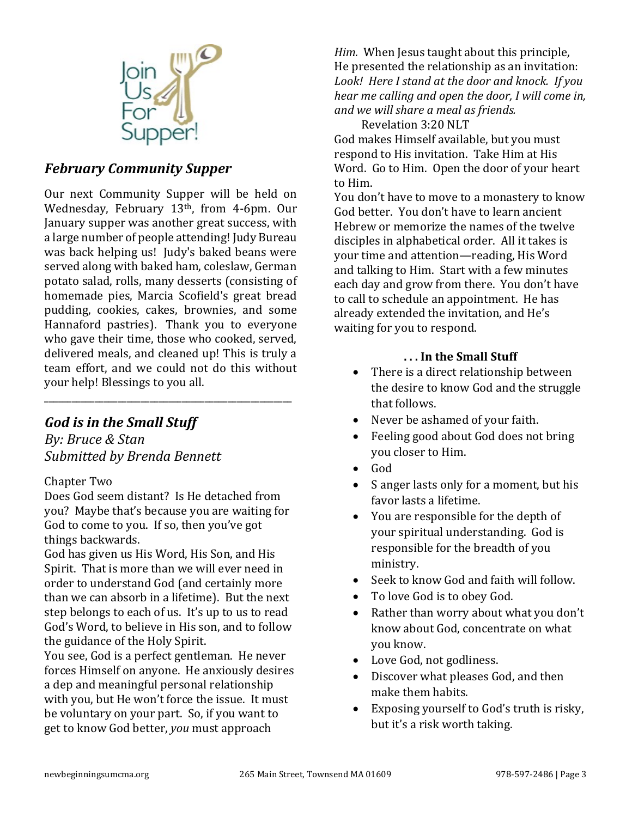

## February Community Supper

Our next Community Supper will be held on Wednesday, February 13th, from 4-6pm. Our January supper was another great success, with a large number of people attending! Judy Bureau was back helping us! Judy's baked beans were served along with baked ham, coleslaw, German potato salad, rolls, many desserts (consisting of homemade pies, Marcia Scofield's great bread pudding, cookies, cakes, brownies, and some Hannaford pastries). Thank you to everyone who gave their time, those who cooked, served, delivered meals, and cleaned up! This is truly a team effort, and we could not do this without your help! Blessings to you all.

\_\_\_\_\_\_\_\_\_\_\_\_\_\_\_\_\_\_\_\_\_\_\_\_\_\_\_\_\_\_\_\_\_\_\_\_\_\_\_\_\_\_\_\_\_\_\_\_\_\_\_\_\_\_

## God is in the Small Stuff

By: Bruce & Stan Submitted by Brenda Bennett

#### Chapter Two

Does God seem distant? Is He detached from you? Maybe that's because you are waiting for God to come to you. If so, then you've got things backwards.

God has given us His Word, His Son, and His Spirit. That is more than we will ever need in order to understand God (and certainly more than we can absorb in a lifetime). But the next step belongs to each of us. It's up to us to read God's Word, to believe in His son, and to follow the guidance of the Holy Spirit.

You see, God is a perfect gentleman. He never forces Himself on anyone. He anxiously desires a dep and meaningful personal relationship with you, but He won't force the issue. It must be voluntary on your part. So, if you want to get to know God better, you must approach

Him. When Jesus taught about this principle, He presented the relationship as an invitation: Look! Here I stand at the door and knock. If you hear me calling and open the door, I will come in, and we will share a meal as friends.

 Revelation 3:20 NLT God makes Himself available, but you must respond to His invitation. Take Him at His Word. Go to Him. Open the door of your heart to Him.

You don't have to move to a monastery to know God better. You don't have to learn ancient Hebrew or memorize the names of the twelve disciples in alphabetical order. All it takes is your time and attention—reading, His Word and talking to Him. Start with a few minutes each day and grow from there. You don't have to call to schedule an appointment. He has already extended the invitation, and He's waiting for you to respond.

#### . . . In the Small Stuff

- There is a direct relationship between the desire to know God and the struggle that follows.
- Never be ashamed of your faith.
- Feeling good about God does not bring you closer to Him.
- $\bullet$  God
- S anger lasts only for a moment, but his favor lasts a lifetime.
- You are responsible for the depth of your spiritual understanding. God is responsible for the breadth of you ministry.
- Seek to know God and faith will follow.
- To love God is to obey God.
- Rather than worry about what you don't know about God, concentrate on what you know.
- Love God, not godliness.
- Discover what pleases God, and then make them habits.
- Exposing yourself to God's truth is risky, but it's a risk worth taking.